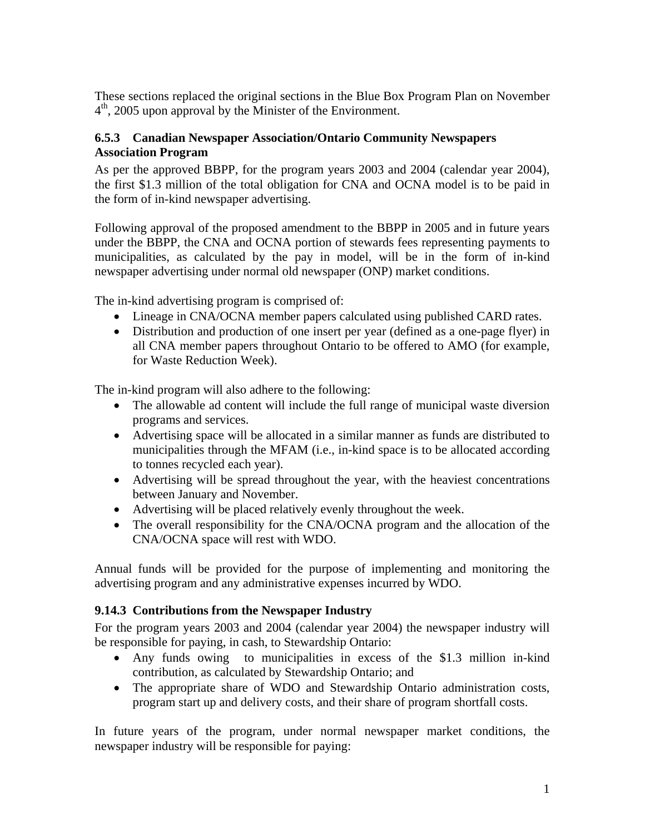These sections replaced the original sections in the Blue Box Program Plan on November  $4<sup>th</sup>$ , 2005 upon approval by the Minister of the Environment.

## **6.5.3 Canadian Newspaper Association/Ontario Community Newspapers Association Program**

As per the approved BBPP, for the program years 2003 and 2004 (calendar year 2004), the first \$1.3 million of the total obligation for CNA and OCNA model is to be paid in the form of in-kind newspaper advertising.

Following approval of the proposed amendment to the BBPP in 2005 and in future years under the BBPP, the CNA and OCNA portion of stewards fees representing payments to municipalities, as calculated by the pay in model, will be in the form of in-kind newspaper advertising under normal old newspaper (ONP) market conditions.

The in-kind advertising program is comprised of:

- Lineage in CNA/OCNA member papers calculated using published CARD rates.
- Distribution and production of one insert per year (defined as a one-page flyer) in all CNA member papers throughout Ontario to be offered to AMO (for example, for Waste Reduction Week).

The in-kind program will also adhere to the following:

- The allowable ad content will include the full range of municipal waste diversion programs and services.
- Advertising space will be allocated in a similar manner as funds are distributed to municipalities through the MFAM (i.e., in-kind space is to be allocated according to tonnes recycled each year).
- Advertising will be spread throughout the year, with the heaviest concentrations between January and November.
- Advertising will be placed relatively evenly throughout the week.
- The overall responsibility for the CNA/OCNA program and the allocation of the CNA/OCNA space will rest with WDO.

Annual funds will be provided for the purpose of implementing and monitoring the advertising program and any administrative expenses incurred by WDO.

## **9.14.3 Contributions from the Newspaper Industry**

For the program years 2003 and 2004 (calendar year 2004) the newspaper industry will be responsible for paying, in cash, to Stewardship Ontario:

- Any funds owing to municipalities in excess of the \$1.3 million in-kind contribution, as calculated by Stewardship Ontario; and
- The appropriate share of WDO and Stewardship Ontario administration costs, program start up and delivery costs, and their share of program shortfall costs.

In future years of the program, under normal newspaper market conditions, the newspaper industry will be responsible for paying: